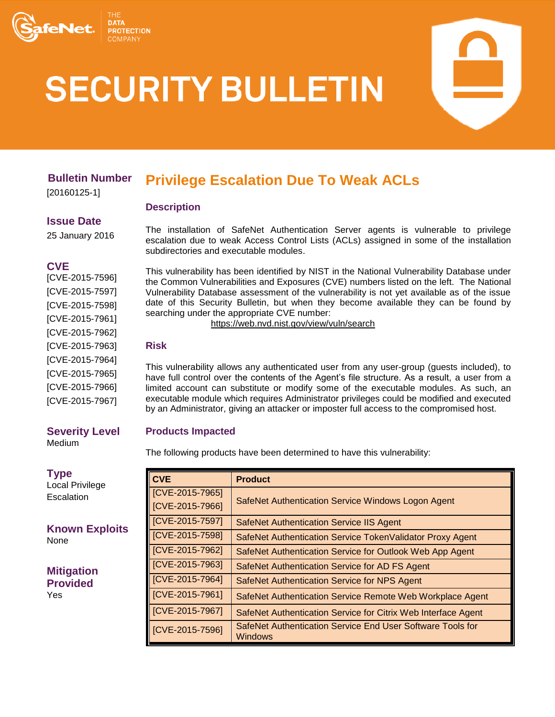

# **SECURITY BULLETIN**

# **Bulletin Number**

[20160125-1]

#### **Issue Date**

25 January 2016

## **CVE**

[CVE-2015-7596] [CVE-2015-7597] [CVE-2015-7598] [CVE-2015-7961] [CVE-2015-7962] [CVE-2015-7963] [CVE-2015-7964] [CVE-2015-7965] [CVE-2015-7966] [CVE-2015-7967]

#### **Severity Level** Medium

**Type** Local Privilege **Escalation** 

**Known Exploits** None

**Mitigation Provided** Yes

# **Privilege Escalation Due To Weak ACLs**

## **Description**

The installation of SafeNet Authentication Server agents is vulnerable to privilege escalation due to weak Access Control Lists (ACLs) assigned in some of the installation subdirectories and executable modules.

This vulnerability has been identified by NIST in the National Vulnerability Database under the Common Vulnerabilities and Exposures (CVE) numbers listed on the left. The National Vulnerability Database assessment of the vulnerability is not yet available as of the issue date of this Security Bulletin, but when they become available they can be found by searching under the appropriate CVE number:

<https://web.nvd.nist.gov/view/vuln/search>

## **Risk**

This vulnerability allows any authenticated user from any user-group (guests included), to have full control over the contents of the Agent's file structure. As a result, a user from a limited account can substitute or modify some of the executable modules. As such, an executable module which requires Administrator privileges could be modified and executed by an Administrator, giving an attacker or imposter full access to the compromised host.

# **Products Impacted**

The following products have been determined to have this vulnerability:

| <b>CVE</b>      | <b>Product</b>                                                        |  |
|-----------------|-----------------------------------------------------------------------|--|
| [CVE-2015-7965] | SafeNet Authentication Service Windows Logon Agent                    |  |
| [CVE-2015-7966] |                                                                       |  |
| [CVE-2015-7597] | <b>SafeNet Authentication Service IIS Agent</b>                       |  |
| [CVE-2015-7598] | SafeNet Authentication Service TokenValidator Proxy Agent             |  |
| [CVE-2015-7962] | SafeNet Authentication Service for Outlook Web App Agent              |  |
| [CVE-2015-7963] | SafeNet Authentication Service for AD FS Agent                        |  |
| [CVE-2015-7964] | SafeNet Authentication Service for NPS Agent                          |  |
| [CVE-2015-7961] | SafeNet Authentication Service Remote Web Workplace Agent             |  |
| [CVE-2015-7967] | SafeNet Authentication Service for Citrix Web Interface Agent         |  |
| [CVE-2015-7596] | SafeNet Authentication Service End User Software Tools for<br>Windows |  |